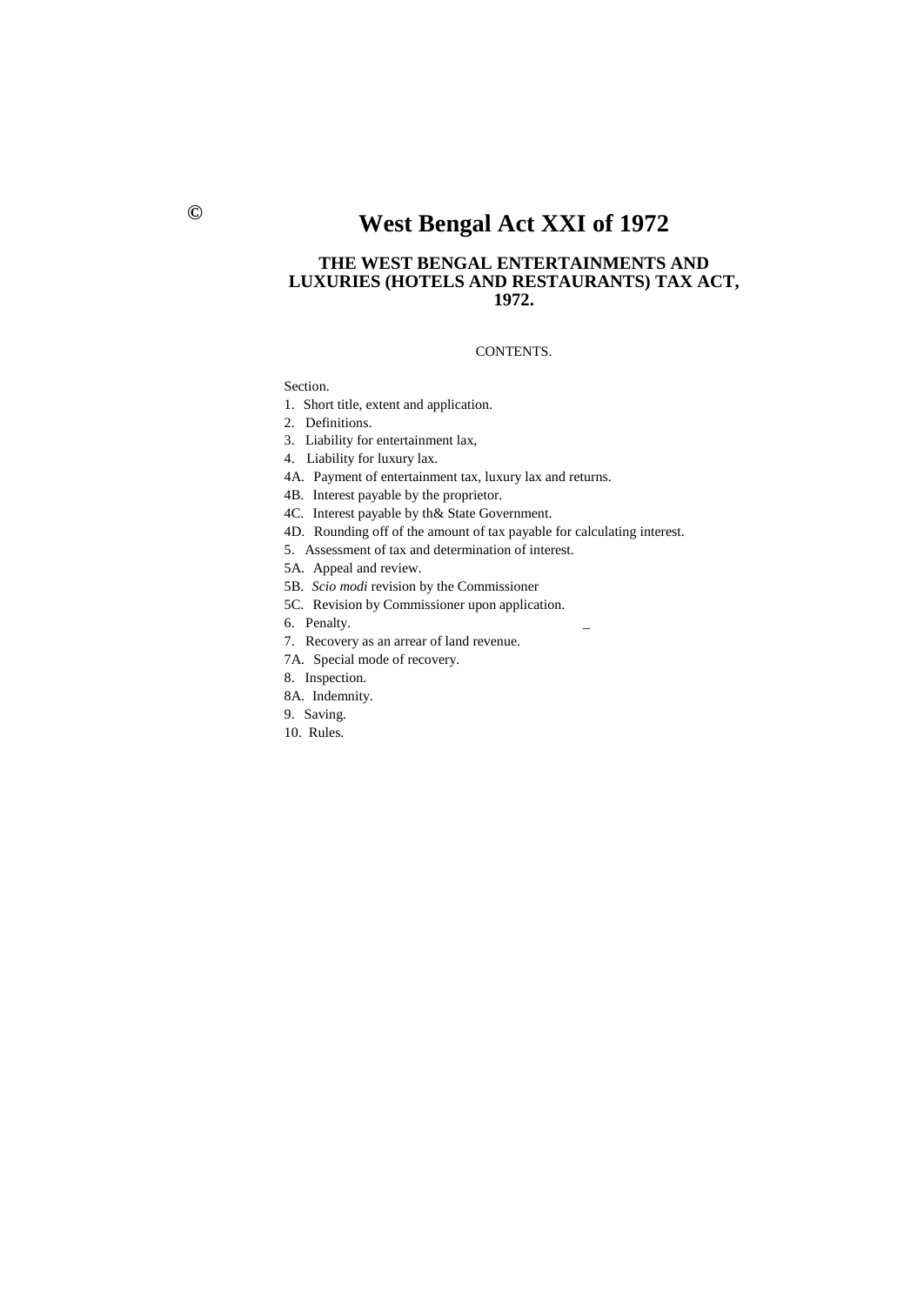# **© West Bengal Act XXI of 1972**

## **THE WEST BENGAL ENTERTAINMENTS AND LUXURIES (HOTELS AND RESTAURANTS) TAX ACT, 1972.**

## CONTENTS.

Section.

1. Short title, extent and application.

2. Definitions.

3. Liability for entertainment lax,

4. Liability for luxury lax.

4A. Payment of entertainment tax, luxury lax and returns.

4B. Interest payable by the proprietor.

- 4C. Interest payable by th& State Government.
- 4D. Rounding off of the amount of tax payable for calculating interest.
- 5. Assessment of tax and determination of interest.
- 5A. Appeal and review.
- 5B. *Scio modi* revision by the Commissioner
- 5C. Revision by Commissioner upon application.
- 6. Penalty.
- 7. Recovery as an arrear of land revenue.
- 7A. Special mode of recovery.
- 8. Inspection.
- 8A. Indemnity.
- 9. Saving.
- 10. Rules.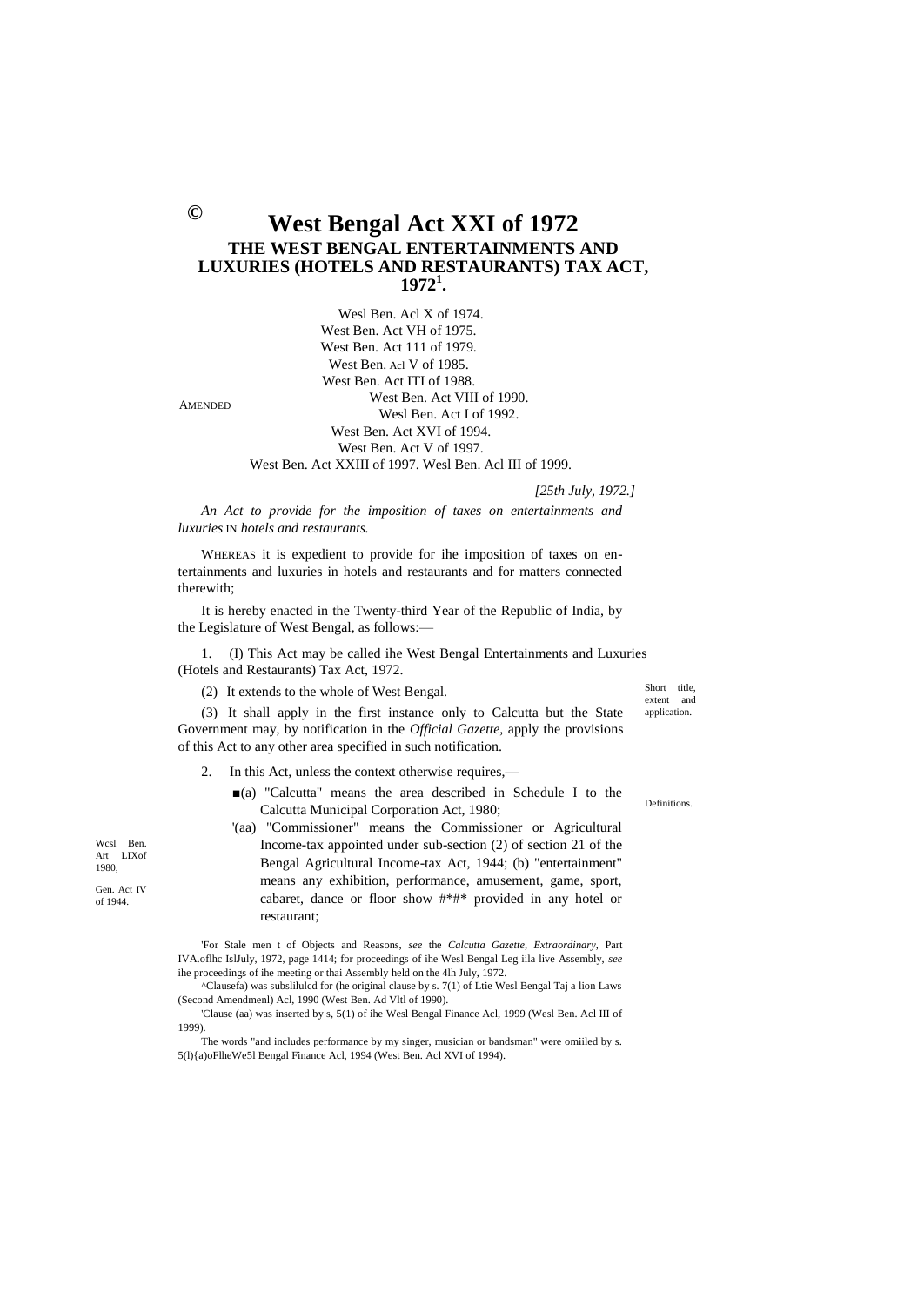# **West Bengal Act XXI of 1972 THE WEST BENGAL ENTERTAINMENTS AND LUXURIES (HOTELS AND RESTAURANTS) TAX ACT, 1972<sup>1</sup> .**

Wesl Ben. Acl X of 1974. West Ben. Act VH of 1975. West Ben. Act 111 of 1979. West Ben. Acl V of 1985. West Ben. Act ITI of 1988. West Ben. Act VIII of 1990. Wesl Ben. Act I of 1992. West Ben. Act XVI of 1994. West Ben. Act V of 1997. West Ben. Act XXIII of 1997. Wesl Ben. Acl III of 1999.

AMENDED

*[25th July, 1972.]*

*An Act to provide for the imposition of taxes on entertainments and luxuries* IN *hotels and restaurants.*

WHEREAS it is expedient to provide for ihe imposition of taxes on entertainments and luxuries in hotels and restaurants and for matters connected therewith;

It is hereby enacted in the Twenty-third Year of the Republic of India, by the Legislature of West Bengal, as follows:—

1. (I) This Act may be called ihe West Bengal Entertainments and Luxuries (Hotels and Restaurants) Tax Act, 1972.

(2) It extends to the whole of West Bengal.

Short title,<br>extent and extent

(3) It shall apply in the first instance only to Calcutta but the State Government may, by notification in the *Official Gazette,* apply the provisions of this Act to any other area specified in such notification.

- 2. In this Act, unless the context otherwise requires,—
	- ■(a) "Calcutta" means the area described in Schedule I to the Calcutta Municipal Corporation Act, 1980;
	- '(aa) "Commissioner" means the Commissioner or Agricultural Income-tax appointed under sub-section (2) of section 21 of the Bengal Agricultural Income-tax Act, 1944; (b) "entertainment" means any exhibition, performance, amusement, game, sport, cabaret, dance or floor show #\*#\* provided in any hotel or restaurant;

'For Stale men t of Objects and Reasons, *see* the *Calcutta Gazette, Extraordinary,* Part IVA.oflhc IslJuly, 1972, page 1414; for proceedings of ihe Wesl Bengal Leg iila live Assembly, *see* ihe proceedings of ihe meeting or thai Assembly held on the 4lh July, 1972.

^Clausefa) was subslilulcd for (he original clause by s. 7(1) of Ltie Wesl Bengal Taj a lion Laws (Second Amendmenl) Acl, 1990 (West Ben. Ad Vltl of 1990).

'Clause (aa) was inserted by s, 5(1) of ihe Wesl Bengal Finance Acl, 1999 (Wesl Ben. Acl III of 1999).

The words "and includes performance by my singer, musician or bandsman" were omiiled by s. 5(l){a)oFlheWe5l Bengal Finance Acl, 1994 (West Ben. Acl XVI of 1994).

Wcsl Ben Art LIXof 1980,

Gen. Act IV of 1944.

application.

Definitions.

**©**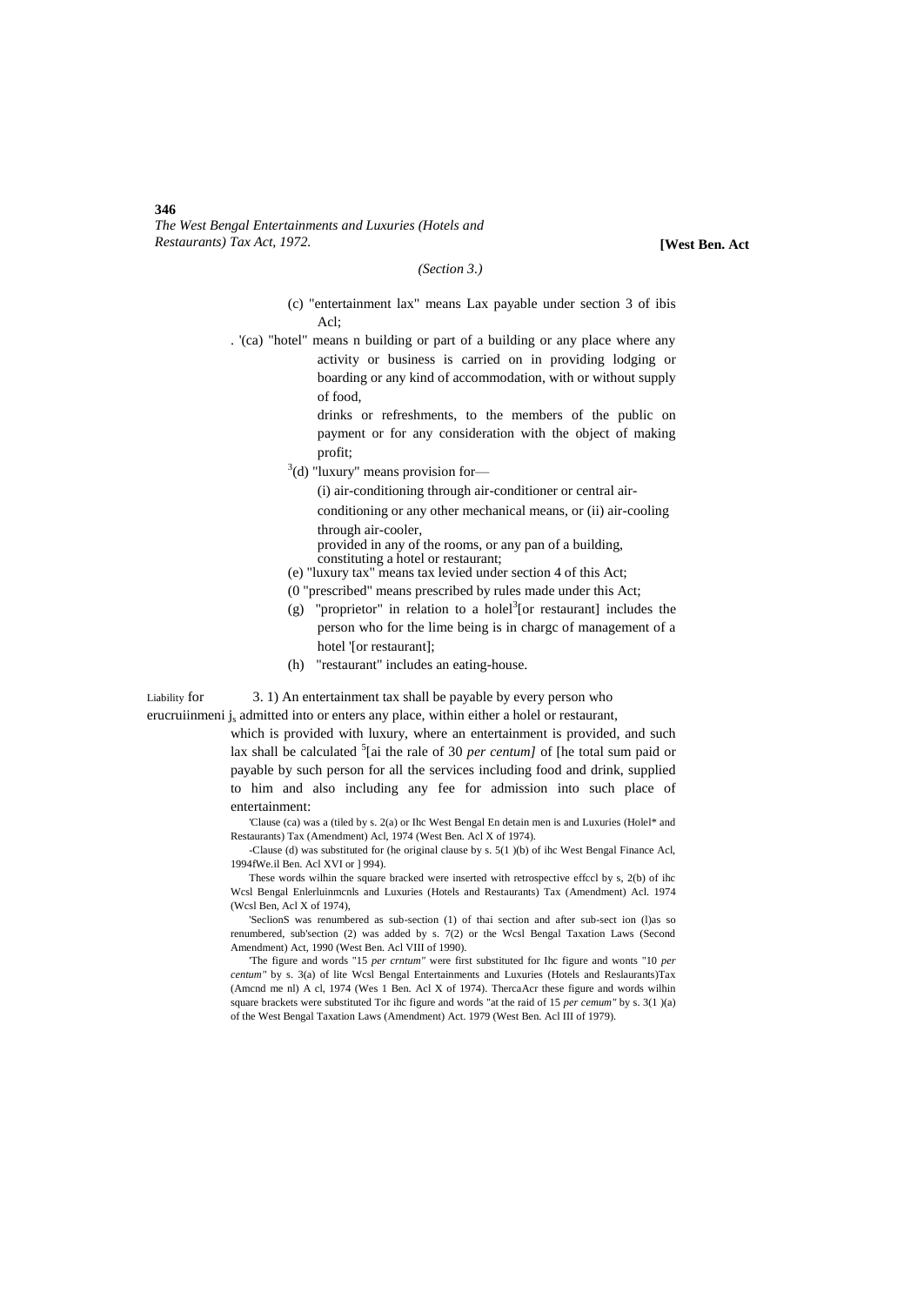#### *(Section 3.)*

- (c) "entertainment lax" means Lax payable under section 3 of ibis  $Acl$
- . '(ca) "hotel" means n building or part of a building or any place where any activity or business is carried on in providing lodging or boarding or any kind of accommodation, with or without supply of food,

drinks or refreshments, to the members of the public on payment or for any consideration with the object of making profit;

 $3$ (d) "luxury" means provision for-

(i) air-conditioning through air-conditioner or central airconditioning or any other mechanical means, or (ii) air-cooling through air-cooler,

provided in any of the rooms, or any pan of a building, constituting a hotel or restaurant;

- (e) "luxury tax" means tax levied under section 4 of this Act;
- (0 "prescribed" means prescribed by rules made under this Act;
- (g) "proprietor" in relation to a holel<sup>3</sup> [or restaurant] includes the person who for the lime being is in chargc of management of a hotel '[or restaurant];
- (h) "restaurant" includes an eating-house.

Liability for 3. 1) An entertainment tax shall be payable by every person who

erucruiinmeni j<sub>s</sub> admitted into or enters any place, within either a holel or restaurant,

which is provided with luxury, where an entertainment is provided, and such lax shall be calculated <sup>5</sup>[ai the rale of 30 *per centum]* of [he total sum paid or payable by such person for all the services including food and drink, supplied to him and also including any fee for admission into such place of entertainment:

'Clause (ca) was a (tiled by s. 2(a) or Ihc West Bengal En detain men is and Luxuries (Holel\* and Restaurants) Tax (Amendment) Acl, 1974 (West Ben. Acl X of 1974).

-Clause (d) was substituted for (he original clause by s. 5(1 )(b) of ihc West Bengal Finance Acl, 1994fWe.il Ben. Acl XVI or ] 994).

These words wilhin the square bracked were inserted with retrospective effccl by s, 2(b) of ihc Wcsl Bengal Enlerluinmcnls and Luxuries (Hotels and Restaurants) Tax (Amendment) Acl. 1974 (Wcsl Ben, Acl X of 1974),

'SeclionS was renumbered as sub-section (1) of thai section and after sub-sect ion (l)as so renumbered, sub'section (2) was added by s. 7(2) or the Wcsl Bengal Taxation Laws (Second Amendment) Act, 1990 (West Ben. Acl VIII of 1990).

'The figure and words "15 *per crntum"* were first substituted for Ihc figure and wonts "10 *per centum"* by s. 3(a) of lite Wcsl Bengal Entertainments and Luxuries (Hotels and Reslaurants)Tax (Amcnd me nl) A cl, 1974 (Wes 1 Ben. Acl X of 1974). ThercaAcr these figure and words wilhin square brackets were substituted Tor ihc figure and words "at the raid of 15 *per cemum"* by s. 3(1 )(a) of the West Bengal Taxation Laws (Amendment) Act. 1979 (West Ben. Acl III of 1979).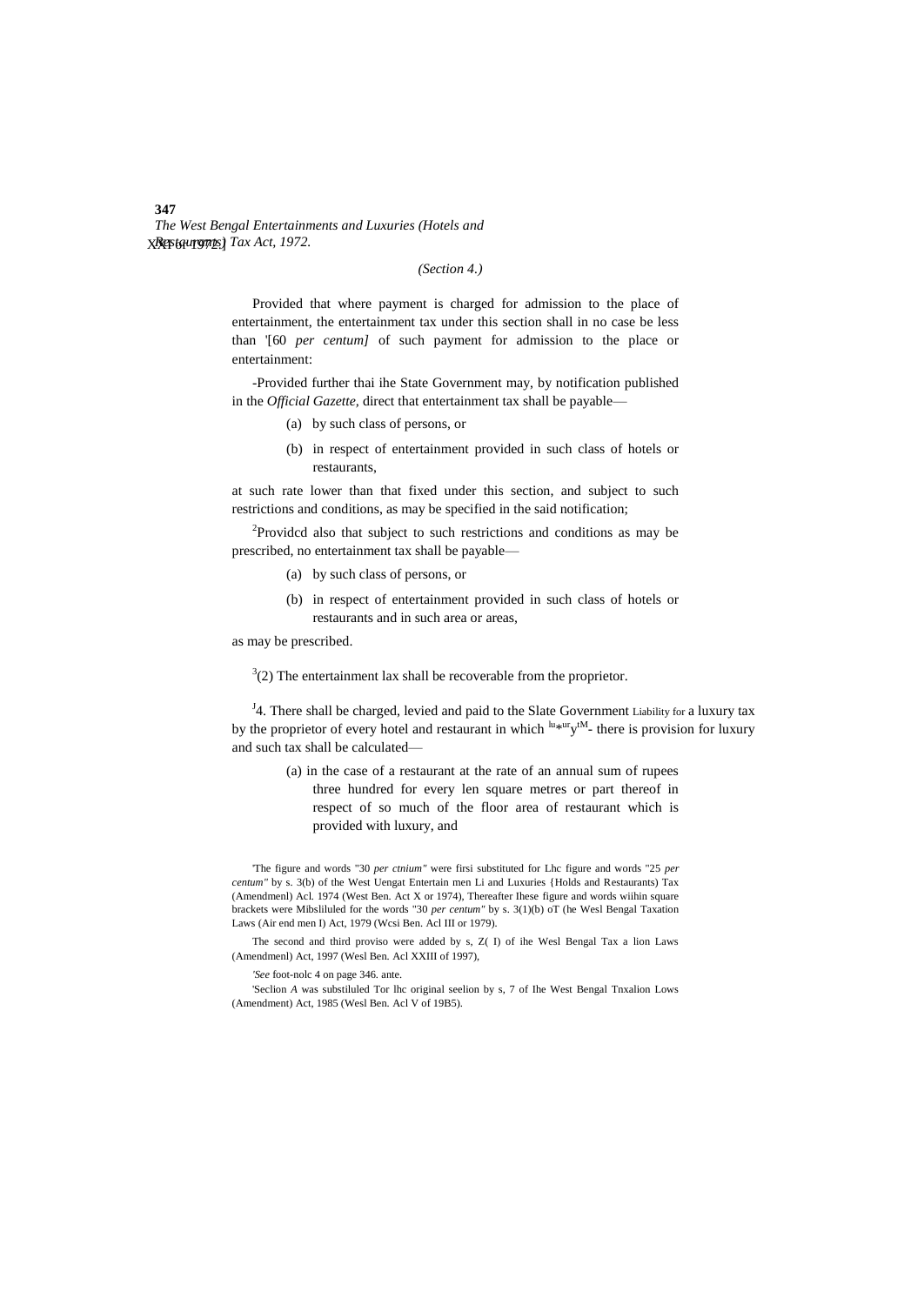## *(Section 4.)*

Provided that where payment is charged for admission to the place of entertainment, the entertainment tax under this section shall in no case be less than '[60 *per centum]* of such payment for admission to the place or entertainment:

-Provided further thai ihe State Government may, by notification published in the *Official Gazette,* direct that entertainment tax shall be payable—

- (a) by such class of persons, or
- (b) in respect of entertainment provided in such class of hotels or restaurants,

at such rate lower than that fixed under this section, and subject to such restrictions and conditions, as may be specified in the said notification;

<sup>2</sup>Providcd also that subject to such restrictions and conditions as may be prescribed, no entertainment tax shall be payable—

- (a) by such class of persons, or
- (b) in respect of entertainment provided in such class of hotels or restaurants and in such area or areas,

as may be prescribed.

 $3(2)$  The entertainment lax shall be recoverable from the proprietor.

<sup>J</sup>4. There shall be charged, levied and paid to the Slate Government Liability for a luxury tax by the proprietor of every hotel and restaurant in which  $\frac{lu*ur}{v}$ <sup>tM</sup>- there is provision for luxury and such tax shall be calculated—

> (a) in the case of a restaurant at the rate of an annual sum of rupees three hundred for every len square metres or part thereof in respect of so much of the floor area of restaurant which is provided with luxury, and

'The figure and words "30 *per ctnium"* were firsi substituted for Lhc figure and words "25 *per centum"* by s. 3(b) of the West Uengat Entertain men Li and Luxuries {Holds and Restaurants) Tax (Amendmenl) Acl. 1974 (West Ben. Act X or 1974), Thereafter Ihese figure and words wiihin square brackets were Mibsliluled for the words "30 *per centum"* by s. 3(1)(b) oT (he Wesl Bengal Taxation Laws (Air end men I) Act, 1979 (Wcsi Ben. Acl III or 1979).

The second and third proviso were added by s, Z( I) of ihe Wesl Bengal Tax a lion Laws (Amendmenl) Act, 1997 (Wesl Ben. Acl XXIII of 1997),

*'See* foot-nolc 4 on page 346. ante.

'Seclion *A* was substiluled Tor lhc original seelion by s, 7 of Ihe West Bengal Tnxalion Lows (Amendment) Act, 1985 (Wesl Ben. Acl V of 19B5).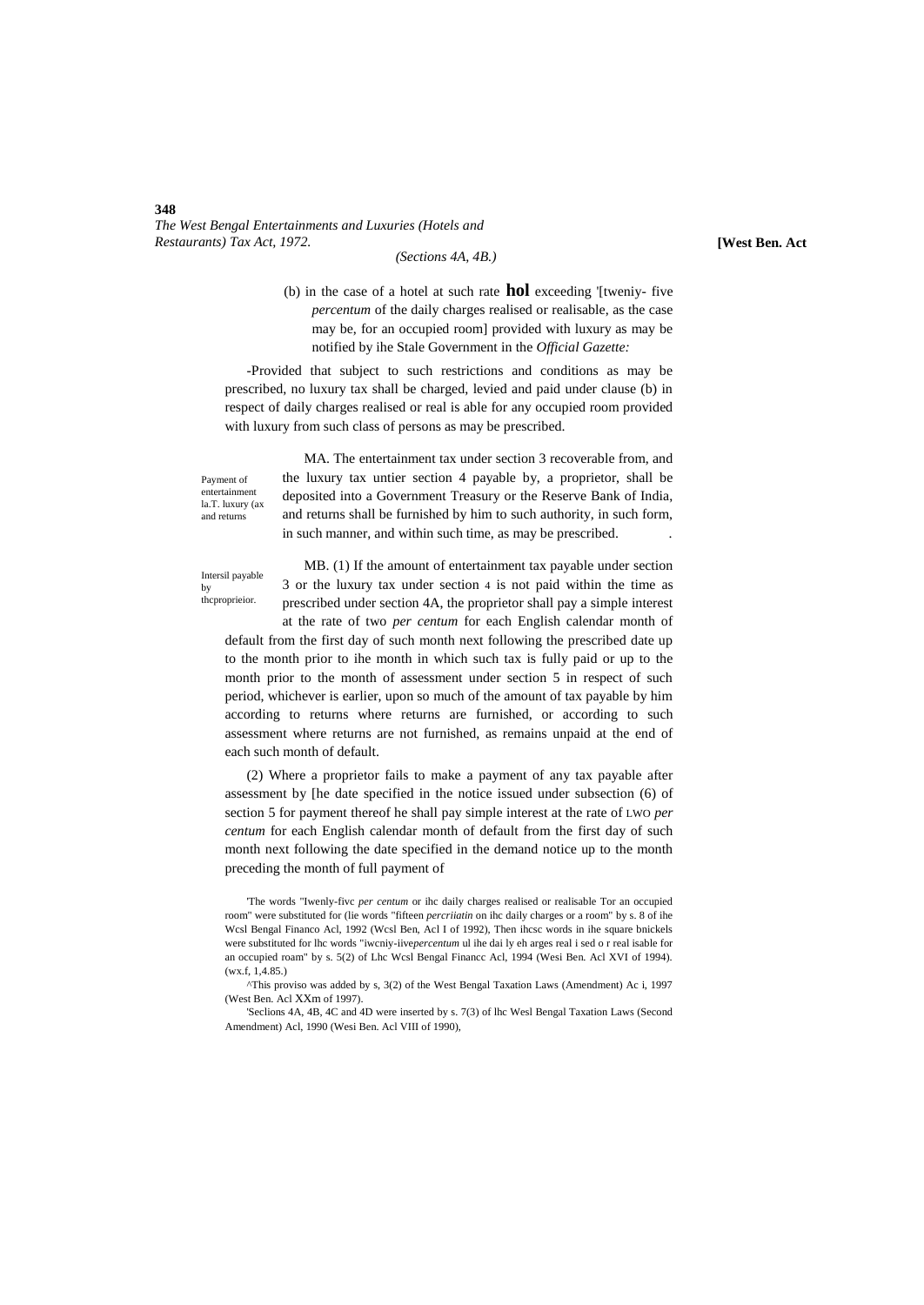*(Sections 4A, 4B.)*

(b) in the case of a hotel at such rate **hol** exceeding '[tweniy- five *percentum* of the daily charges realised or realisable, as the case may be, for an occupied room] provided with luxury as may be notified by ihe Stale Government in the *Official Gazette:*

-Provided that subject to such restrictions and conditions as may be prescribed, no luxury tax shall be charged, levied and paid under clause (b) in respect of daily charges realised or real is able for any occupied room provided with luxury from such class of persons as may be prescribed.

Payment of entertainmen la.T. luxury (ax and returns

MA. The entertainment tax under section 3 recoverable from, and the luxury tax untier section 4 payable by, a proprietor, shall be deposited into a Government Treasury or the Reserve Bank of India, and returns shall be furnished by him to such authority, in such form, in such manner, and within such time, as may be prescribed.

Intersil payable by thcproprieior.

MB. (1) If the amount of entertainment tax payable under section 3 or the luxury tax under section 4 is not paid within the time as prescribed under section 4A, the proprietor shall pay a simple interest at the rate of two *per centum* for each English calendar month of

default from the first day of such month next following the prescribed date up to the month prior to ihe month in which such tax is fully paid or up to the month prior to the month of assessment under section 5 in respect of such period, whichever is earlier, upon so much of the amount of tax payable by him according to returns where returns are furnished, or according to such assessment where returns are not furnished, as remains unpaid at the end of each such month of default.

(2) Where a proprietor fails to make a payment of any tax payable after assessment by [he date specified in the notice issued under subsection (6) of section 5 for payment thereof he shall pay simple interest at the rate of LWO *per centum* for each English calendar month of default from the first day of such month next following the date specified in the demand notice up to the month preceding the month of full payment of

<sup>&#</sup>x27;The words "Iwenly-fivc *per centum* or ihc daily charges realised or realisable Tor an occupied room" were substituted for (lie words "fifteen *percriiatin* on ihc daily charges or a room" by s. 8 of ihe Wcsl Bengal Financo Acl, 1992 (Wcsl Ben, Acl I of 1992), Then ihcsc words in ihe square bnickels were substituted for lhc words "iwcniy-iive*percentum* ul ihe dai ly eh arges real i sed o r real isable for an occupied roam" by s. 5(2) of Lhc Wcsl Bengal Financc Acl, 1994 (Wesi Ben. Acl XVI of 1994). (wx.f, 1,4.85.)

<sup>^</sup>This proviso was added by s, 3(2) of the West Bengal Taxation Laws (Amendment) Ac i, 1997 (West Ben. Acl XXm of 1997).

<sup>&#</sup>x27;Seclions 4A, 4B, 4C and 4D were inserted by s. 7(3) of lhc Wesl Bengal Taxation Laws (Second Amendment) Acl, 1990 (Wesi Ben. Acl VIII of 1990),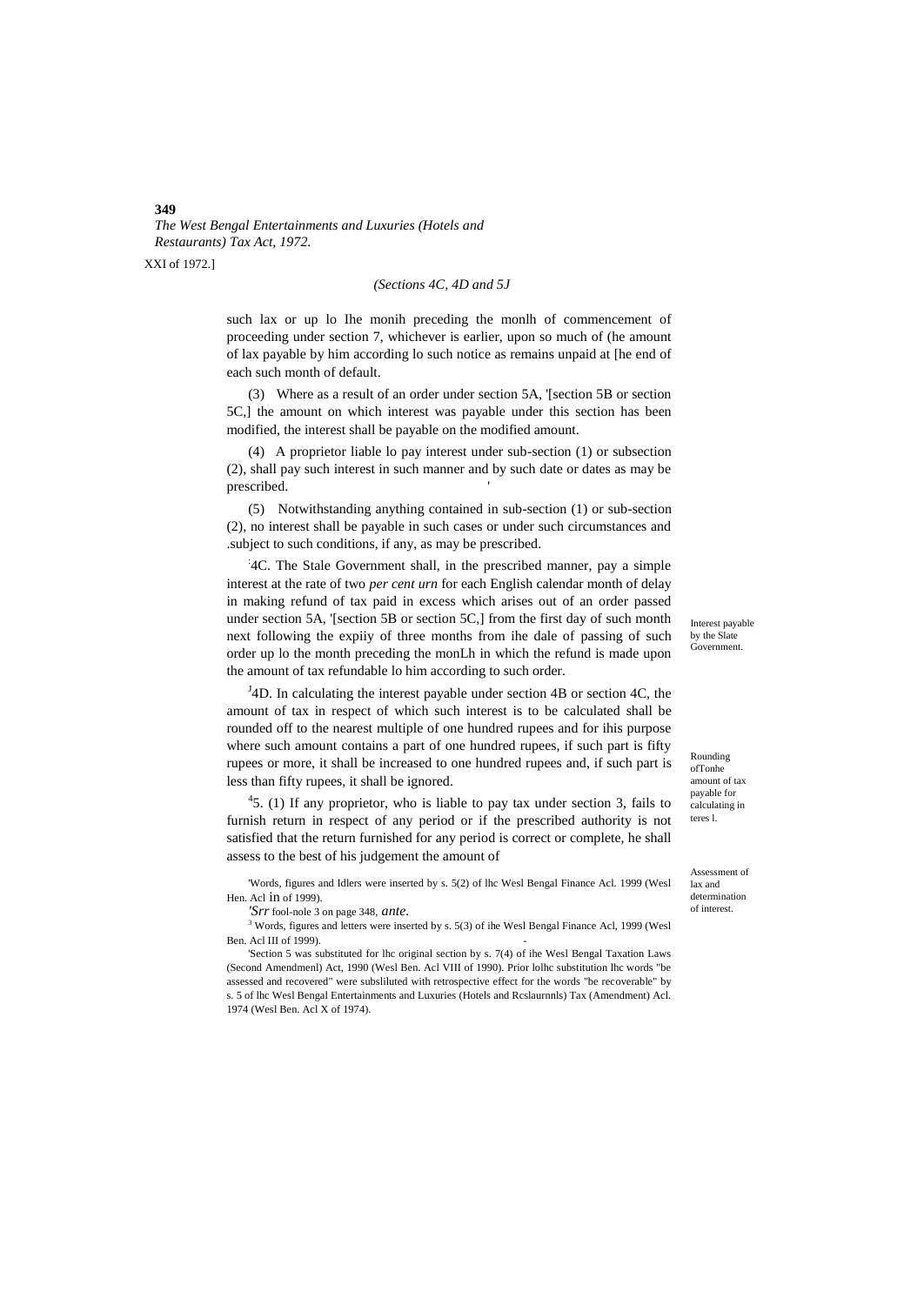XXI of 1972.]

### *(Sections 4C, 4D and 5J*

such lax or up lo Ihe monih preceding the monlh of commencement of proceeding under section 7, whichever is earlier, upon so much of (he amount of lax payable by him according lo such notice as remains unpaid at [he end of each such month of default.

(3) Where as a result of an order under section 5A, '[section 5B or section 5C,] the amount on which interest was payable under this section has been modified, the interest shall be payable on the modified amount.

(4) A proprietor liable lo pay interest under sub-section (1) or subsection (2), shall pay such interest in such manner and by such date or dates as may be prescribed.

(5) Notwithstanding anything contained in sub-section (1) or sub-section (2), no interest shall be payable in such cases or under such circumstances and .subject to such conditions, if any, as may be prescribed.

: 4C. The Stale Government shall, in the prescribed manner, pay a simple interest at the rate of two *per cent urn* for each English calendar month of delay in making refund of tax paid in excess which arises out of an order passed under section 5A, '[section 5B or section 5C,] from the first day of such month next following the expiiy of three months from ihe dale of passing of such order up lo the month preceding the monLh in which the refund is made upon the amount of tax refundable lo him according to such order.

 $J<sup>J</sup>$ 4D. In calculating the interest payable under section 4B or section 4C, the amount of tax in respect of which such interest is to be calculated shall be rounded off to the nearest multiple of one hundred rupees and for ihis purpose where such amount contains a part of one hundred rupees, if such part is fifty rupees or more, it shall be increased to one hundred rupees and, if such part is less than fifty rupees, it shall be ignored.

 $45.$  (1) If any proprietor, who is liable to pay tax under section 3, fails to furnish return in respect of any period or if the prescribed authority is not satisfied that the return furnished for any period is correct or complete, he shall assess to the best of his judgement the amount of

'Words, figures and Idlers were inserted by s. 5(2) of lhc Wesl Bengal Finance Acl. 1999 (Wesl Hen. Acl in of 1999).

*'Srr* fool-nole 3 on page 348, *ante.*

<sup>3</sup> Words, figures and letters were inserted by s. 5(3) of ihe Wesl Bengal Finance Acl, 1999 (Wesl Ben. Acl III of 1999).

'Section 5 was substituted for lhc original section by s. 7(4) of ihe Wesl Bengal Taxation Laws (Second Amendmenl) Act, 1990 (Wesl Ben. Acl VIII of 1990). Prior lolhc substitution lhc words "be assessed and recovered" were subsliluted with retrospective effect for the words "be recoverable" by s. 5 of lhc Wesl Bengal Entertainments and Luxuries (Hotels and Rcslaurnnls) Tax (Amendment) Acl. 1974 (Wesl Ben. Acl X of 1974).

Interest payable by the Slate **Government** 

Rounding ofTonhe amount of tax payable for calculating in teres l.

Assessment of lax and determination of interest.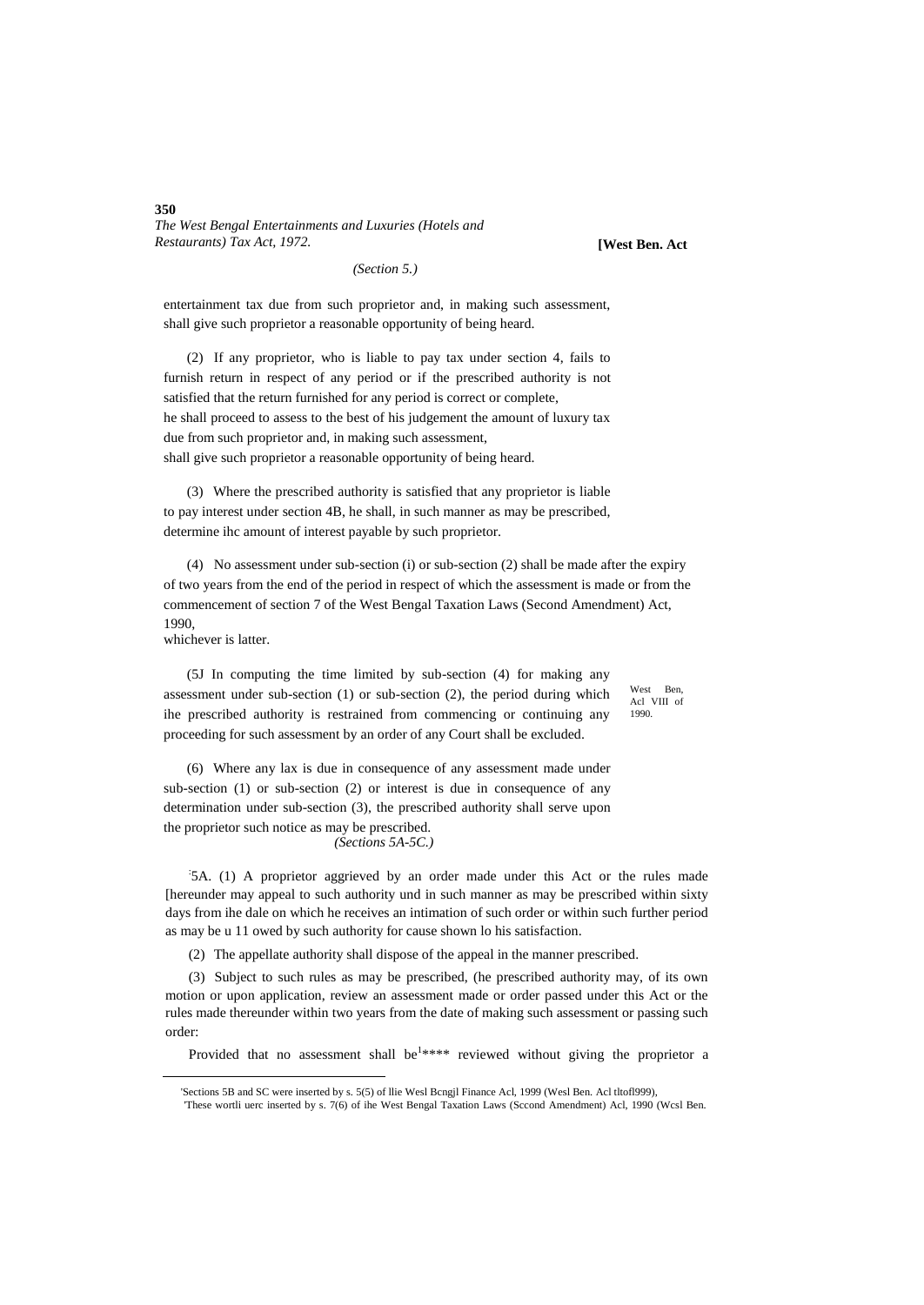**[West Ben. Act**

*(Section 5.)*

entertainment tax due from such proprietor and, in making such assessment, shall give such proprietor a reasonable opportunity of being heard.

(2) If any proprietor, who is liable to pay tax under section 4, fails to furnish return in respect of any period or if the prescribed authority is not satisfied that the return furnished for any period is correct or complete, he shall proceed to assess to the best of his judgement the amount of luxury tax due from such proprietor and, in making such assessment, shall give such proprietor a reasonable opportunity of being heard.

(3) Where the prescribed authority is satisfied that any proprietor is liable to pay interest under section 4B, he shall, in such manner as may be prescribed, determine ihc amount of interest payable by such proprietor.

(4) No assessment under sub-section (i) or sub-section (2) shall be made after the expiry of two years from the end of the period in respect of which the assessment is made or from the commencement of section 7 of the West Bengal Taxation Laws (Second Amendment) Act, 1990,

whichever is latter.

1

(5J In computing the time limited by sub-section (4) for making any assessment under sub-section (1) or sub-section (2), the period during which ihe prescribed authority is restrained from commencing or continuing any proceeding for such assessment by an order of any Court shall be excluded.

West Ben, Acl VIII of 1990.

(6) Where any lax is due in consequence of any assessment made under sub-section (1) or sub-section (2) or interest is due in consequence of any determination under sub-section (3), the prescribed authority shall serve upon the proprietor such notice as may be prescribed.

*(Sections 5A-5C.)*

: 5A. (1) A proprietor aggrieved by an order made under this Act or the rules made [hereunder may appeal to such authority und in such manner as may be prescribed within sixty days from ihe dale on which he receives an intimation of such order or within such further period as may be u 11 owed by such authority for cause shown lo his satisfaction.

(2) The appellate authority shall dispose of the appeal in the manner prescribed.

(3) Subject to such rules as may be prescribed, (he prescribed authority may, of its own motion or upon application, review an assessment made or order passed under this Act or the rules made thereunder within two years from the date of making such assessment or passing such order:

Provided that no assessment shall be<sup>1\*\*\*\*</sup> reviewed without giving the proprietor a

<sup>&#</sup>x27;Sections 5B and SC were inserted by s. 5(5) of llie Wesl Bcngjl Finance Acl, 1999 (Wesl Ben. Acl tltofl999),

<sup>&#</sup>x27;These wortli uerc inserted by s. 7(6) of ihe West Bengal Taxation Laws (Sccond Amendment) Acl, 1990 (Wcsl Ben.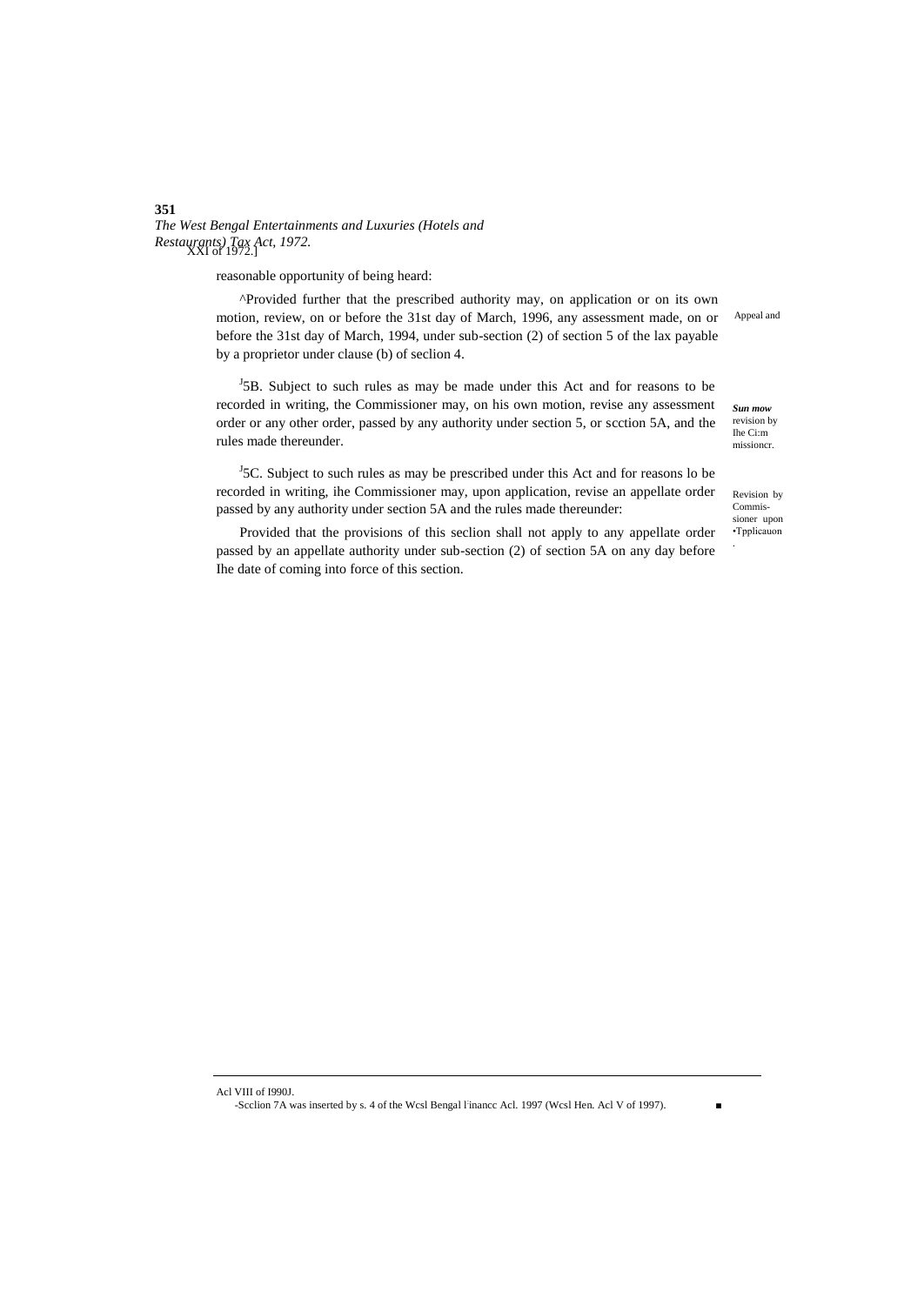reasonable opportunity of being heard:

^Provided further that the prescribed authority may, on application or on its own motion, review, on or before the 31st day of March, 1996, any assessment made, on or before the 31st day of March, 1994, under sub-section (2) of section 5 of the lax payable by a proprietor under clause (b) of seclion 4.

 $15B$ . Subject to such rules as may be made under this Act and for reasons to be recorded in writing, the Commissioner may, on his own motion, revise any assessment order or any other order, passed by any authority under section 5, or scction 5A, and the rules made thereunder.

 $<sup>J</sup>$ 5C. Subject to such rules as may be prescribed under this Act and for reasons lo be</sup> recorded in writing, ihe Commissioner may, upon application, revise an appellate order passed by any authority under section 5A and the rules made thereunder:

Provided that the provisions of this seclion shall not apply to any appellate order passed by an appellate authority under sub-section (2) of section 5A on any day before Ihe date of coming into force of this section.

Appeal and

*Sun mow*  revision by Ihe Ci:m missioncr.

Revision by Commissioner upon •Tpplicauon .

Acl VIII of I990J.

 $\overline{a}$ 

-Scclion 7A was inserted by s. 4 of the Wcsl Bengal l: inancc Acl. 1997 (Wcsl Hen. Acl V of 1997). ■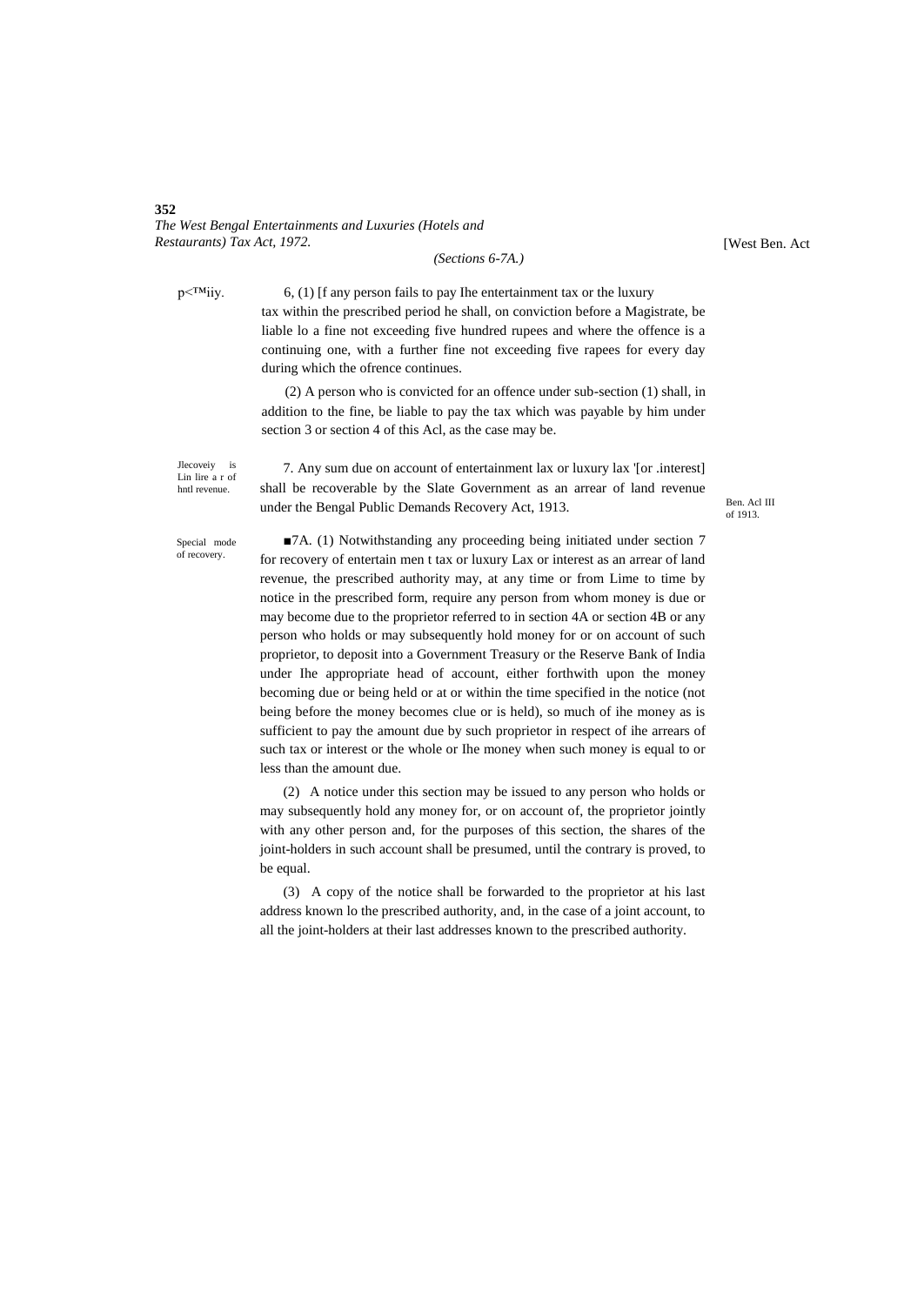*(Sections 6-7A.)*

[West Ben. Act

 $p \leq W$ iiy. 6, (1) [f any person fails to pay Ihe entertainment tax or the luxury tax within the prescribed period he shall, on conviction before a Magistrate, be liable lo a fine not exceeding five hundred rupees and where the offence is a continuing one, with a further fine not exceeding five rapees for every day during which the ofrence continues.

> (2) A person who is convicted for an offence under sub-section (1) shall, in addition to the fine, be liable to pay the tax which was payable by him under section 3 or section 4 of this Acl, as the case may be.

Jlecoveiy is Lin lire a r of hntl revenue.

7. Any sum due on account of entertainment lax or luxury lax '[or .interest] shall be recoverable by the Slate Government as an arrear of land revenue under the Bengal Public Demands Recovery Act, 1913.

Ben. Acl III of 1913.

Special mode of recovery.

■7A. (1) Notwithstanding any proceeding being initiated under section 7 for recovery of entertain men t tax or luxury Lax or interest as an arrear of land revenue, the prescribed authority may, at any time or from Lime to time by notice in the prescribed form, require any person from whom money is due or may become due to the proprietor referred to in section 4A or section 4B or any person who holds or may subsequently hold money for or on account of such proprietor, to deposit into a Government Treasury or the Reserve Bank of India under Ihe appropriate head of account, either forthwith upon the money becoming due or being held or at or within the time specified in the notice (not being before the money becomes clue or is held), so much of ihe money as is sufficient to pay the amount due by such proprietor in respect of ihe arrears of such tax or interest or the whole or Ihe money when such money is equal to or less than the amount due.

(2) A notice under this section may be issued to any person who holds or may subsequently hold any money for, or on account of, the proprietor jointly with any other person and, for the purposes of this section, the shares of the joint-holders in such account shall be presumed, until the contrary is proved, to be equal.

(3) A copy of the notice shall be forwarded to the proprietor at his last address known lo the prescribed authority, and, in the case of a joint account, to all the joint-holders at their last addresses known to the prescribed authority.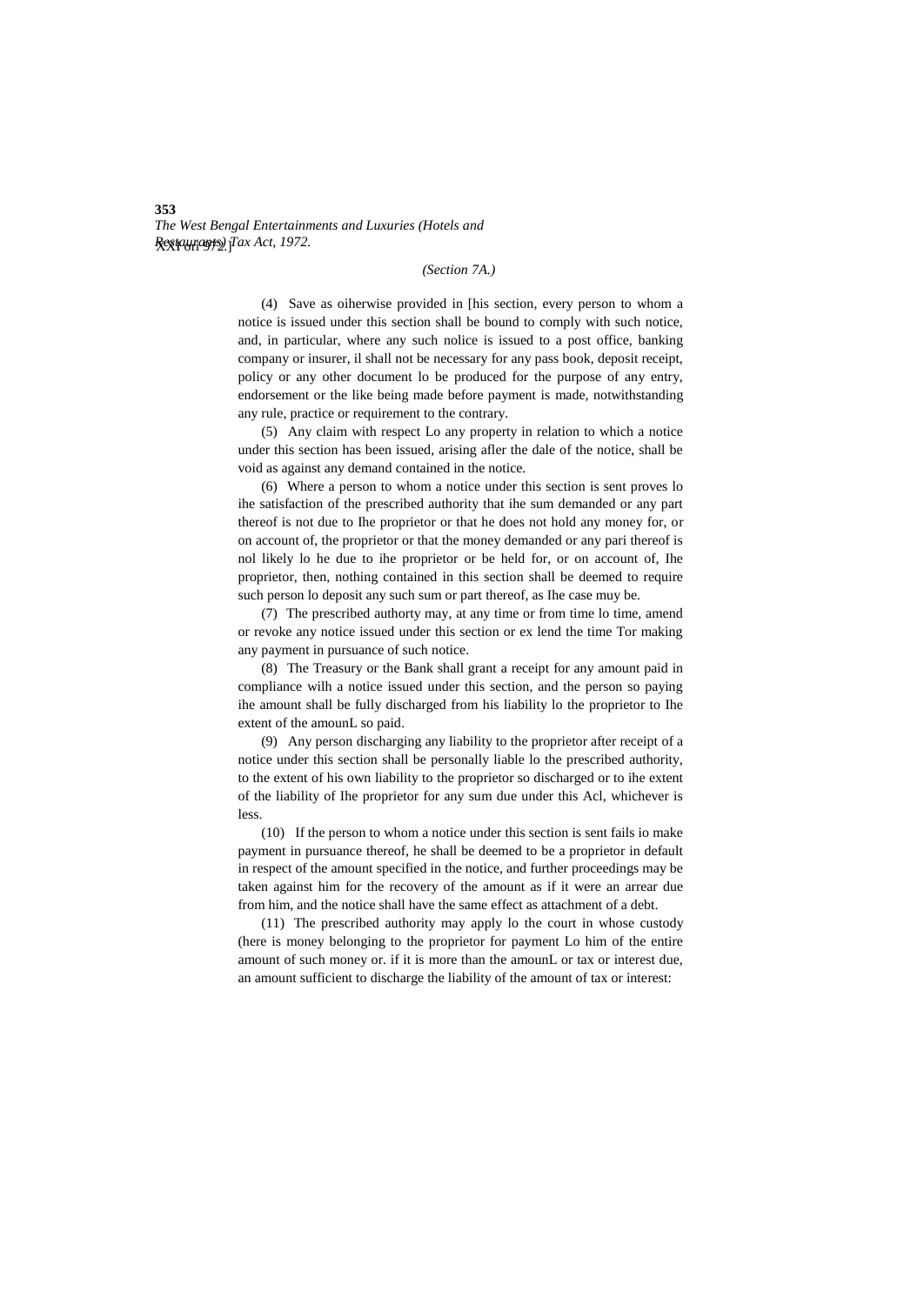## *(Section 7A.)*

(4) Save as oiherwise provided in [his section, every person to whom a notice is issued under this section shall be bound to comply with such notice, and, in particular, where any such nolice is issued to a post office, banking company or insurer, il shall not be necessary for any pass book, deposit receipt, policy or any other document lo be produced for the purpose of any entry, endorsement or the like being made before payment is made, notwithstanding any rule, practice or requirement to the contrary.

(5) Any claim with respect Lo any property in relation to which a notice under this section has been issued, arising afler the dale of the notice, shall be void as against any demand contained in the notice.

(6) Where a person to whom a notice under this section is sent proves lo ihe satisfaction of the prescribed authority that ihe sum demanded or any part thereof is not due to Ihe proprietor or that he does not hold any money for, or on account of, the proprietor or that the money demanded or any pari thereof is nol likely lo he due to ihe proprietor or be held for, or on account of, Ihe proprietor, then, nothing contained in this section shall be deemed to require such person lo deposit any such sum or part thereof, as Ihe case muy be.

(7) The prescribed authorty may, at any time or from time lo time, amend or revoke any notice issued under this section or ex lend the time Tor making any payment in pursuance of such notice.

(8) The Treasury or the Bank shall grant a receipt for any amount paid in compliance wilh a notice issued under this section, and the person so paying ihe amount shall be fully discharged from his liability lo the proprietor to Ihe extent of the amounL so paid.

(9) Any person discharging any liability to the proprietor after receipt of a notice under this section shall be personally liable lo the prescribed authority, to the extent of his own liability to the proprietor so discharged or to ihe extent of the liability of Ihe proprietor for any sum due under this Acl, whichever is less.

(10) If the person to whom a notice under this section is sent fails io make payment in pursuance thereof, he shall be deemed to be a proprietor in default in respect of the amount specified in the notice, and further proceedings may be taken against him for the recovery of the amount as if it were an arrear due from him, and the notice shall have the same effect as attachment of a debt.

(11) The prescribed authority may apply lo the court in whose custody (here is money belonging to the proprietor for payment Lo him of the entire amount of such money or. if it is more than the amounL or tax or interest due, an amount sufficient to discharge the liability of the amount of tax or interest: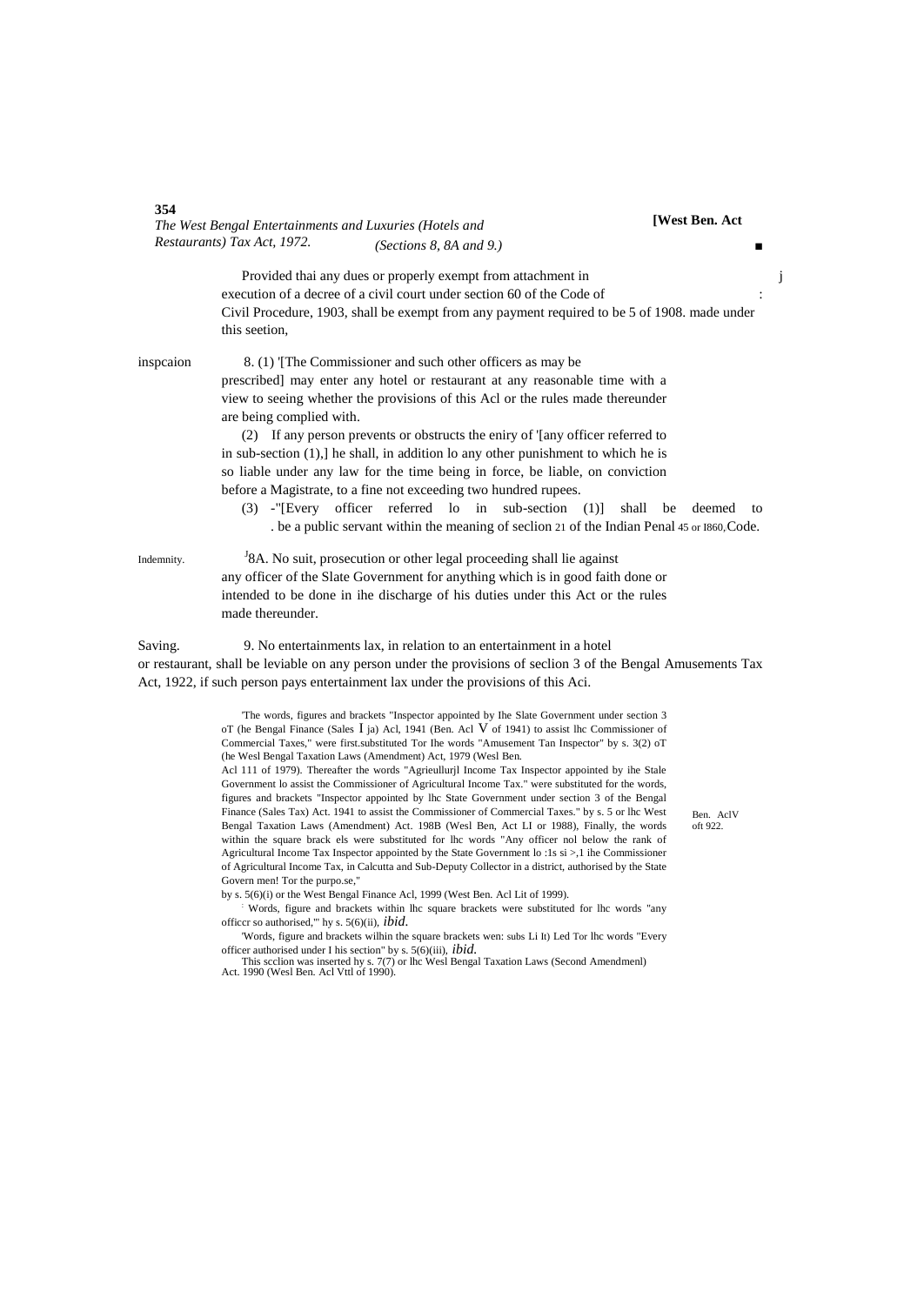|            | The West Bengal Entertainments and Luxuries (Hotels and<br>Restaurants) Tax Act, 1972.                                                                                                                                                                                                                                                                                                                                                                                                                                                                                                                          | [West Ben. Act |
|------------|-----------------------------------------------------------------------------------------------------------------------------------------------------------------------------------------------------------------------------------------------------------------------------------------------------------------------------------------------------------------------------------------------------------------------------------------------------------------------------------------------------------------------------------------------------------------------------------------------------------------|----------------|
|            | (Sections 8, 8A and 9.)                                                                                                                                                                                                                                                                                                                                                                                                                                                                                                                                                                                         |                |
|            | Provided thai any dues or properly exempt from attachment in                                                                                                                                                                                                                                                                                                                                                                                                                                                                                                                                                    |                |
|            | execution of a decree of a civil court under section 60 of the Code of                                                                                                                                                                                                                                                                                                                                                                                                                                                                                                                                          |                |
|            | Civil Procedure, 1903, shall be exempt from any payment required to be 5 of 1908. made under<br>this section,                                                                                                                                                                                                                                                                                                                                                                                                                                                                                                   |                |
| inspeaion  | 8. (1) The Commissioner and such other officers as may be                                                                                                                                                                                                                                                                                                                                                                                                                                                                                                                                                       |                |
|            | prescribed] may enter any hotel or restaurant at any reasonable time with a                                                                                                                                                                                                                                                                                                                                                                                                                                                                                                                                     |                |
|            | view to seeing whether the provisions of this Acl or the rules made thereunder<br>are being complied with.                                                                                                                                                                                                                                                                                                                                                                                                                                                                                                      |                |
|            | (2) If any person prevents or obstructs the eniry of '[any officer referred to                                                                                                                                                                                                                                                                                                                                                                                                                                                                                                                                  |                |
|            | in sub-section $(1)$ , he shall, in addition lo any other punishment to which he is                                                                                                                                                                                                                                                                                                                                                                                                                                                                                                                             |                |
|            | so liable under any law for the time being in force, be liable, on conviction                                                                                                                                                                                                                                                                                                                                                                                                                                                                                                                                   |                |
|            | before a Magistrate, to a fine not exceeding two hundred rupees.                                                                                                                                                                                                                                                                                                                                                                                                                                                                                                                                                |                |
|            | (3) -"[Every officer referred lo in<br>$sub-section (1)]$<br>shall                                                                                                                                                                                                                                                                                                                                                                                                                                                                                                                                              | be<br>deemed   |
|            | . be a public servant within the meaning of seclion 21 of the Indian Penal 45 or 1860, Code.                                                                                                                                                                                                                                                                                                                                                                                                                                                                                                                    |                |
| Indemnity. | <sup>J</sup> 8A. No suit, prosecution or other legal proceeding shall lie against                                                                                                                                                                                                                                                                                                                                                                                                                                                                                                                               |                |
|            | any officer of the Slate Government for anything which is in good faith done or                                                                                                                                                                                                                                                                                                                                                                                                                                                                                                                                 |                |
|            | intended to be done in ihe discharge of his duties under this Act or the rules                                                                                                                                                                                                                                                                                                                                                                                                                                                                                                                                  |                |
|            | made thereunder.                                                                                                                                                                                                                                                                                                                                                                                                                                                                                                                                                                                                |                |
| Saving.    | 9. No entertainments lax, in relation to an entertainment in a hotel                                                                                                                                                                                                                                                                                                                                                                                                                                                                                                                                            |                |
|            | or restaurant, shall be leviable on any person under the provisions of seclion 3 of the Bengal Amusements Tax                                                                                                                                                                                                                                                                                                                                                                                                                                                                                                   |                |
|            | Act, 1922, if such person pays entertainment lax under the provisions of this Aci.                                                                                                                                                                                                                                                                                                                                                                                                                                                                                                                              |                |
|            |                                                                                                                                                                                                                                                                                                                                                                                                                                                                                                                                                                                                                 |                |
|            | The words, figures and brackets "Inspector appointed by Ihe Slate Government under section 3<br>oT (he Bengal Finance (Sales $\bar{I}$ ja) Acl, 1941 (Ben. Acl $\bar{V}$ of 1941) to assist the Commissioner of<br>Commercial Taxes," were first substituted Tor Ihe words "Amusement Tan Inspector" by s. 3(2) oT<br>(he Wesl Bengal Taxation Laws (Amendment) Act, 1979 (Wesl Ben.                                                                                                                                                                                                                            |                |
|            | Acl 111 of 1979). Thereafter the words "Agrieullurjl Income Tax Inspector appointed by ihe Stale                                                                                                                                                                                                                                                                                                                                                                                                                                                                                                                |                |
|            | Government lo assist the Commissioner of Agricultural Income Tax." were substituted for the words,<br>figures and brackets "Inspector appointed by lhc State Government under section 3 of the Bengal<br>Finance (Sales Tax) Act. 1941 to assist the Commissioner of Commercial Taxes." by s. 5 or lhc West<br>Bengal Taxation Laws (Amendment) Act. 198B (Wesl Ben, Act LI or 1988), Finally, the words<br>within the square brack els were substituted for lhc words "Any officer nol below the rank of<br>Agricultural Income Tax Inspector appointed by the State Government lo: 1s si >,1 ihe Commissioner | oft 922.       |
|            | of Agricultural Income Tax, in Calcutta and Sub-Deputy Collector in a district, authorised by the State<br>Govern men! Tor the purpo.se,"                                                                                                                                                                                                                                                                                                                                                                                                                                                                       | Ben. AclV      |
|            | by s. 5(6)(i) or the West Bengal Finance Acl, 1999 (West Ben. Acl Lit of 1999).<br>Words, figure and brackets within lhc square brackets were substituted for lhc words "any"                                                                                                                                                                                                                                                                                                                                                                                                                                   |                |
|            | officer so authorised," hy s. $5(6)(ii)$ , <i>ibid.</i><br>'Words, figure and brackets wilhin the square brackets wen: subs Li It) Led Tor lhc words "Every<br>officer authorised under I his section" by s. $5(6)(iii)$ , <i>ibid.</i>                                                                                                                                                                                                                                                                                                                                                                         |                |
|            | This section was inserted hy s. 7(7) or lhe West Bengal Taxation Laws (Second Amendment)<br>Act. 1990 (Wesl Ben. Acl Vttl of 1990).                                                                                                                                                                                                                                                                                                                                                                                                                                                                             |                |
|            |                                                                                                                                                                                                                                                                                                                                                                                                                                                                                                                                                                                                                 |                |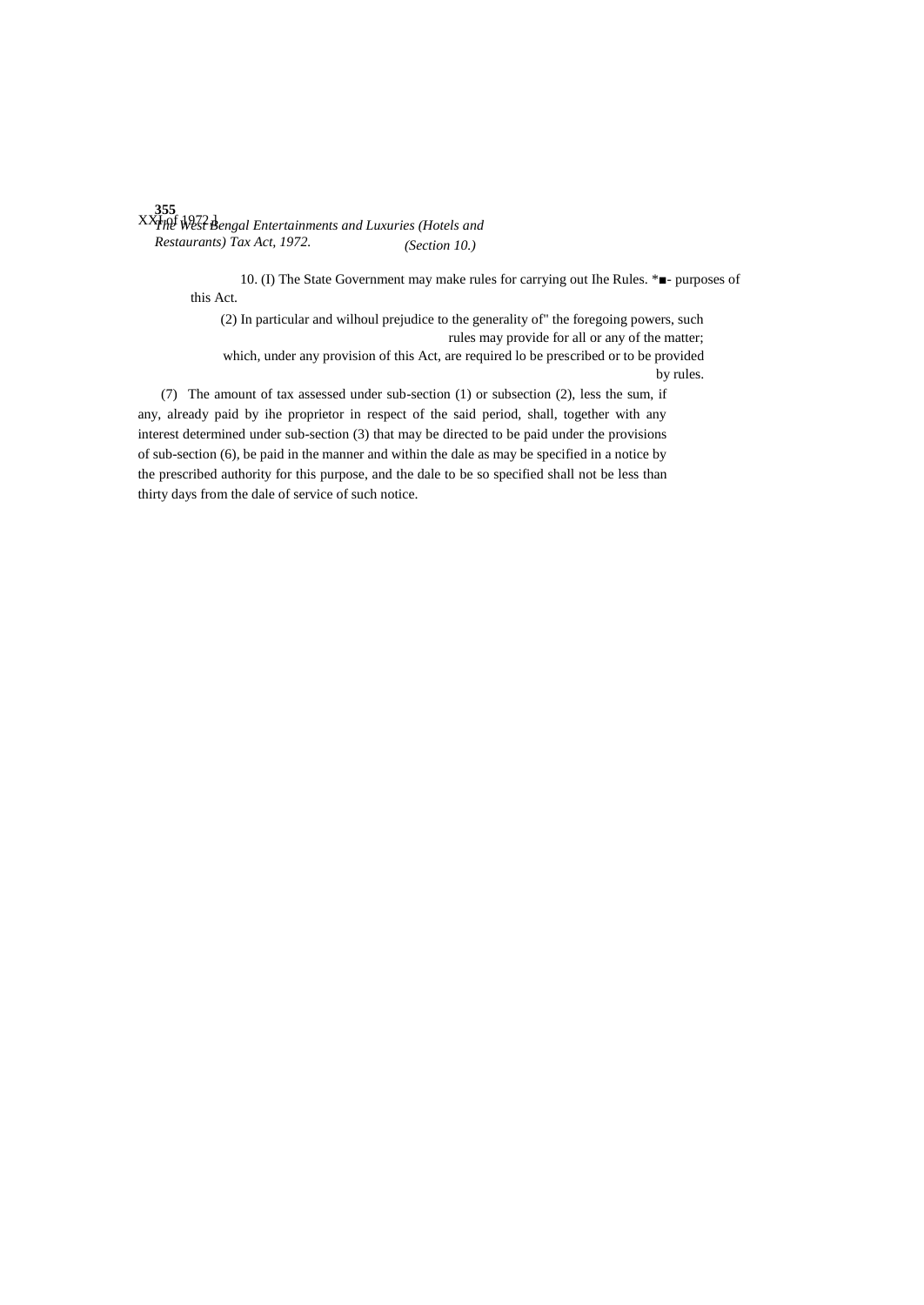**355** XXI<sub>INE</sub> West Bengal Entertainments and Luxuries (Hotels and *Restaurants) Tax Act, 1972. (Section 10.)*

> 10. (I) The State Government may make rules for carrying out Ihe Rules. \*■- purposes of this Act.

(2) In particular and wilhoul prejudice to the generality of" the foregoing powers, such rules may provide for all or any of the matter; which, under any provision of this Act, are required lo be prescribed or to be provided by rules.

(7) The amount of tax assessed under sub-section (1) or subsection (2), less the sum, if any, already paid by ihe proprietor in respect of the said period, shall, together with any interest determined under sub-section (3) that may be directed to be paid under the provisions of sub-section (6), be paid in the manner and within the dale as may be specified in a notice by the prescribed authority for this purpose, and the dale to be so specified shall not be less than thirty days from the dale of service of such notice.